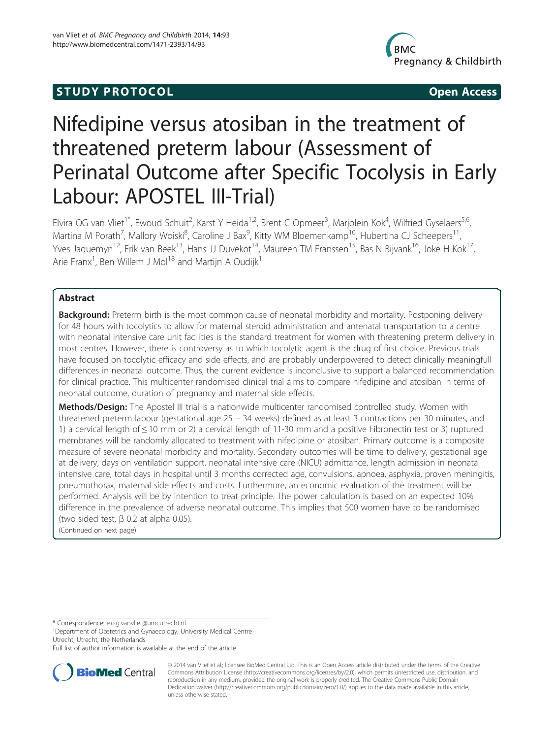## **STUDY PROTOCOL CONSUMING THE STUDY PROTOCOL**



# Nifedipine versus atosiban in the treatment of threatened preterm labour (Assessment of Perinatal Outcome after Specific Tocolysis in Early Labour: APOSTEL III-Trial)

Elvira OG van Vliet<sup>1\*</sup>, Ewoud Schuit<sup>2</sup>, Karst Y Heida<sup>1,2</sup>, Brent C Opmeer<sup>3</sup>, Marjolein Kok<sup>4</sup>, Wilfried Gyselaers<sup>5,6</sup>, Martina M Porath<sup>7</sup>, Mallory Woiski<sup>8</sup>, Caroline J Bax<sup>9</sup>, Kitty WM Bloemenkamp<sup>10</sup>, Hubertina CJ Scheepers<sup>11</sup>, Yves Jaquemyn<sup>12</sup>, Erik van Beek<sup>13</sup>, Hans JJ Duvekot<sup>14</sup>, Maureen TM Franssen<sup>15</sup>, Bas N Bijvank<sup>16</sup>, Joke H Kok<sup>17</sup>, Arie Franx<sup>1</sup>, Ben Willem J Mol<sup>18</sup> and Martijn A Oudijk<sup>1</sup>

## Abstract

Background: Preterm birth is the most common cause of neonatal morbidity and mortality. Postponing delivery for 48 hours with tocolytics to allow for maternal steroid administration and antenatal transportation to a centre with neonatal intensive care unit facilities is the standard treatment for women with threatening preterm delivery in most centres. However, there is controversy as to which tocolytic agent is the drug of first choice. Previous trials have focused on tocolytic efficacy and side effects, and are probably underpowered to detect clinically meaningfull differences in neonatal outcome. Thus, the current evidence is inconclusive to support a balanced recommendation for clinical practice. This multicenter randomised clinical trial aims to compare nifedipine and atosiban in terms of neonatal outcome, duration of pregnancy and maternal side effects.

Methods/Design: The Apostel III trial is a nationwide multicenter randomised controlled study. Women with threatened preterm labour (gestational age 25 – 34 weeks) defined as at least 3 contractions per 30 minutes, and 1) a cervical length of ≤ 10 mm or 2) a cervical length of 11-30 mm and a positive Fibronectin test or 3) ruptured membranes will be randomly allocated to treatment with nifedipine or atosiban. Primary outcome is a composite measure of severe neonatal morbidity and mortality. Secondary outcomes will be time to delivery, gestational age at delivery, days on ventilation support, neonatal intensive care (NICU) admittance, length admission in neonatal intensive care, total days in hospital until 3 months corrected age, convulsions, apnoea, asphyxia, proven meningitis, pneumothorax, maternal side effects and costs. Furthermore, an economic evaluation of the treatment will be performed. Analysis will be by intention to treat principle. The power calculation is based on an expected 10% difference in the prevalence of adverse neonatal outcome. This implies that 500 women have to be randomised (two sided test, β 0.2 at alpha 0.05).

(Continued on next page)

\* Correspondence: [e.o.g.vanvliet@umcutrecht.nl](mailto:e.o.g.vanvliet@umcutrecht.nl) <sup>1</sup>

<sup>1</sup>Department of Obstetrics and Gynaecology, University Medical Centre Utrecht, Utrecht, the Netherlands

Full list of author information is available at the end of the article



© 2014 van Vliet et al.; licensee BioMed Central Ltd. This is an Open Access article distributed under the terms of the Creative Commons Attribution License [\(http://creativecommons.org/licenses/by/2.0\)](http://creativecommons.org/licenses/by/2.0), which permits unrestricted use, distribution, and reproduction in any medium, provided the original work is properly credited. The Creative Commons Public Domain Dedication waiver [\(http://creativecommons.org/publicdomain/zero/1.0/](http://creativecommons.org/publicdomain/zero/1.0/)) applies to the data made available in this article, unless otherwise stated.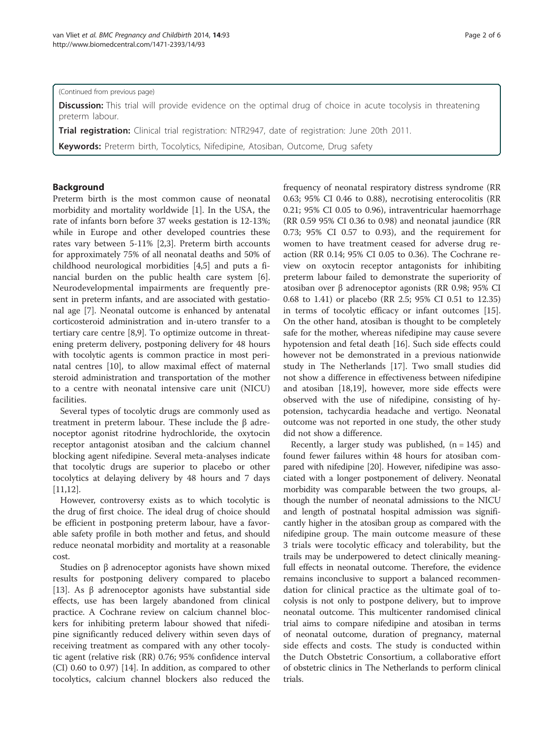#### (Continued from previous page)

Discussion: This trial will provide evidence on the optimal drug of choice in acute tocolysis in threatening preterm labour.

Trial registration: Clinical trial registration: [NTR2947,](http://www.trialregister.nl/trialreg/admin/rctview.asp?TC=2947) date of registration: June 20th 2011.

Keywords: Preterm birth, Tocolytics, Nifedipine, Atosiban, Outcome, Drug safety

#### **Background**

Preterm birth is the most common cause of neonatal morbidity and mortality worldwide [\[1](#page-4-0)]. In the USA, the rate of infants born before 37 weeks gestation is 12-13%; while in Europe and other developed countries these rates vary between 5-11% [[2,3\]](#page-4-0). Preterm birth accounts for approximately 75% of all neonatal deaths and 50% of childhood neurological morbidities [[4,5\]](#page-4-0) and puts a financial burden on the public health care system [\[6](#page-4-0)]. Neurodevelopmental impairments are frequently present in preterm infants, and are associated with gestational age [\[7](#page-4-0)]. Neonatal outcome is enhanced by antenatal corticosteroid administration and in-utero transfer to a tertiary care centre [\[8,9](#page-4-0)]. To optimize outcome in threatening preterm delivery, postponing delivery for 48 hours with tocolytic agents is common practice in most perinatal centres [[10](#page-4-0)], to allow maximal effect of maternal steroid administration and transportation of the mother to a centre with neonatal intensive care unit (NICU) facilities.

Several types of tocolytic drugs are commonly used as treatment in preterm labour. These include the β adrenoceptor agonist ritodrine hydrochloride, the oxytocin receptor antagonist atosiban and the calcium channel blocking agent nifedipine. Several meta-analyses indicate that tocolytic drugs are superior to placebo or other tocolytics at delaying delivery by 48 hours and 7 days [[11,12\]](#page-4-0).

However, controversy exists as to which tocolytic is the drug of first choice. The ideal drug of choice should be efficient in postponing preterm labour, have a favorable safety profile in both mother and fetus, and should reduce neonatal morbidity and mortality at a reasonable cost.

Studies on β adrenoceptor agonists have shown mixed results for postponing delivery compared to placebo [[13\]](#page-4-0). As  $\beta$  adrenoceptor agonists have substantial side effects, use has been largely abandoned from clinical practice. A Cochrane review on calcium channel blockers for inhibiting preterm labour showed that nifedipine significantly reduced delivery within seven days of receiving treatment as compared with any other tocolytic agent (relative risk (RR) 0.76; 95% confidence interval (CI) 0.60 to 0.97) [[14](#page-4-0)]. In addition, as compared to other tocolytics, calcium channel blockers also reduced the frequency of neonatal respiratory distress syndrome (RR 0.63; 95% CI 0.46 to 0.88), necrotising enterocolitis (RR 0.21; 95% CI 0.05 to 0.96), intraventricular haemorrhage (RR 0.59 95% CI 0.36 to 0.98) and neonatal jaundice (RR 0.73; 95% CI 0.57 to 0.93), and the requirement for women to have treatment ceased for adverse drug reaction (RR 0.14; 95% CI 0.05 to 0.36). The Cochrane review on oxytocin receptor antagonists for inhibiting preterm labour failed to demonstrate the superiority of atosiban over β adrenoceptor agonists (RR 0.98; 95% CI 0.68 to 1.41) or placebo (RR 2.5; 95% CI 0.51 to 12.35) in terms of tocolytic efficacy or infant outcomes [\[15](#page-4-0)]. On the other hand, atosiban is thought to be completely safe for the mother, whereas nifedipine may cause severe hypotension and fetal death [[16\]](#page-4-0). Such side effects could however not be demonstrated in a previous nationwide study in The Netherlands [[17\]](#page-4-0). Two small studies did not show a difference in effectiveness between nifedipine and atosiban [\[18,19\]](#page-4-0), however, more side effects were observed with the use of nifedipine, consisting of hypotension, tachycardia headache and vertigo. Neonatal outcome was not reported in one study, the other study did not show a difference.

Recently, a larger study was published,  $(n = 145)$  and found fewer failures within 48 hours for atosiban compared with nifedipine [[20](#page-4-0)]. However, nifedipine was associated with a longer postponement of delivery. Neonatal morbidity was comparable between the two groups, although the number of neonatal admissions to the NICU and length of postnatal hospital admission was significantly higher in the atosiban group as compared with the nifedipine group. The main outcome measure of these 3 trials were tocolytic efficacy and tolerability, but the trails may be underpowered to detect clinically meaningfull effects in neonatal outcome. Therefore, the evidence remains inconclusive to support a balanced recommendation for clinical practice as the ultimate goal of tocolysis is not only to postpone delivery, but to improve neonatal outcome. This multicenter randomised clinical trial aims to compare nifedipine and atosiban in terms of neonatal outcome, duration of pregnancy, maternal side effects and costs. The study is conducted within the Dutch Obstetric Consortium, a collaborative effort of obstetric clinics in The Netherlands to perform clinical trials.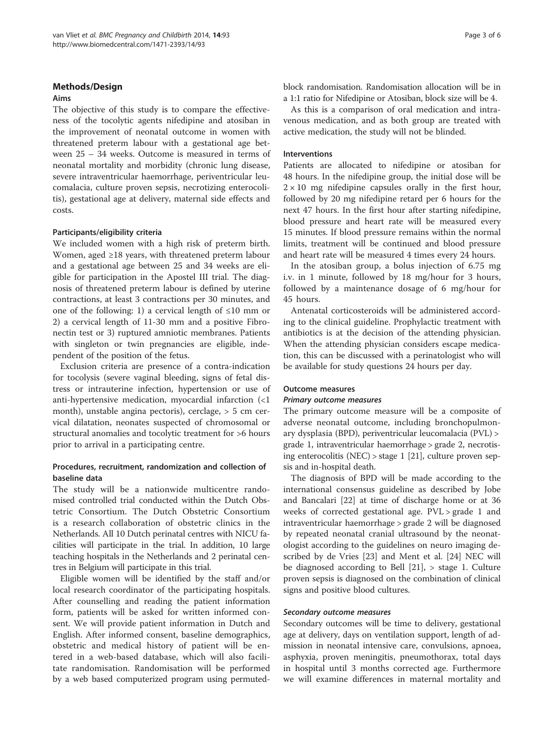#### Methods/Design

#### Aims

The objective of this study is to compare the effectiveness of the tocolytic agents nifedipine and atosiban in the improvement of neonatal outcome in women with threatened preterm labour with a gestational age between 25 – 34 weeks. Outcome is measured in terms of neonatal mortality and morbidity (chronic lung disease, severe intraventricular haemorrhage, periventricular leucomalacia, culture proven sepsis, necrotizing enterocolitis), gestational age at delivery, maternal side effects and costs.

#### Participants/eligibility criteria

We included women with a high risk of preterm birth. Women, aged ≥18 years, with threatened preterm labour and a gestational age between 25 and 34 weeks are eligible for participation in the Apostel III trial. The diagnosis of threatened preterm labour is defined by uterine contractions, at least 3 contractions per 30 minutes, and one of the following: 1) a cervical length of ≤10 mm or 2) a cervical length of 11-30 mm and a positive Fibronectin test or 3) ruptured amniotic membranes. Patients with singleton or twin pregnancies are eligible, independent of the position of the fetus.

Exclusion criteria are presence of a contra-indication for tocolysis (severe vaginal bleeding, signs of fetal distress or intrauterine infection, hypertension or use of anti-hypertensive medication, myocardial infarction (<1 month), unstable angina pectoris), cerclage, > 5 cm cervical dilatation, neonates suspected of chromosomal or structural anomalies and tocolytic treatment for >6 hours prior to arrival in a participating centre.

#### Procedures, recruitment, randomization and collection of baseline data

The study will be a nationwide multicentre randomised controlled trial conducted within the Dutch Obstetric Consortium. The Dutch Obstetric Consortium is a research collaboration of obstetric clinics in the Netherlands. All 10 Dutch perinatal centres with NICU facilities will participate in the trial. In addition, 10 large teaching hospitals in the Netherlands and 2 perinatal centres in Belgium will participate in this trial.

Eligible women will be identified by the staff and/or local research coordinator of the participating hospitals. After counselling and reading the patient information form, patients will be asked for written informed consent. We will provide patient information in Dutch and English. After informed consent, baseline demographics, obstetric and medical history of patient will be entered in a web-based database, which will also facilitate randomisation. Randomisation will be performed by a web based computerized program using permutedblock randomisation. Randomisation allocation will be in a 1:1 ratio for Nifedipine or Atosiban, block size will be 4.

As this is a comparison of oral medication and intravenous medication, and as both group are treated with active medication, the study will not be blinded.

#### Interventions

Patients are allocated to nifedipine or atosiban for 48 hours. In the nifedipine group, the initial dose will be  $2 \times 10$  mg nifedipine capsules orally in the first hour, followed by 20 mg nifedipine retard per 6 hours for the next 47 hours. In the first hour after starting nifedipine, blood pressure and heart rate will be measured every 15 minutes. If blood pressure remains within the normal limits, treatment will be continued and blood pressure and heart rate will be measured 4 times every 24 hours.

In the atosiban group, a bolus injection of 6.75 mg i.v. in 1 minute, followed by 18 mg/hour for 3 hours, followed by a maintenance dosage of 6 mg/hour for 45 hours.

Antenatal corticosteroids will be administered according to the clinical guideline. Prophylactic treatment with antibiotics is at the decision of the attending physician. When the attending physician considers escape medication, this can be discussed with a perinatologist who will be available for study questions 24 hours per day.

#### Outcome measures

#### Primary outcome measures

The primary outcome measure will be a composite of adverse neonatal outcome, including bronchopulmonary dysplasia (BPD), periventricular leucomalacia (PVL) > grade 1, intraventricular haemorrhage > grade 2, necrotising enterocolitis (NEC) > stage 1 [[21](#page-4-0)], culture proven sepsis and in-hospital death.

The diagnosis of BPD will be made according to the international consensus guideline as described by Jobe and Bancalari [\[22](#page-4-0)] at time of discharge home or at 36 weeks of corrected gestational age. PVL > grade 1 and intraventricular haemorrhage > grade 2 will be diagnosed by repeated neonatal cranial ultrasound by the neonatologist according to the guidelines on neuro imaging described by de Vries [\[23\]](#page-5-0) and Ment et al. [\[24](#page-5-0)] NEC will be diagnosed according to Bell [[21\]](#page-4-0), > stage 1. Culture proven sepsis is diagnosed on the combination of clinical signs and positive blood cultures.

#### Secondary outcome measures

Secondary outcomes will be time to delivery, gestational age at delivery, days on ventilation support, length of admission in neonatal intensive care, convulsions, apnoea, asphyxia, proven meningitis, pneumothorax, total days in hospital until 3 months corrected age. Furthermore we will examine differences in maternal mortality and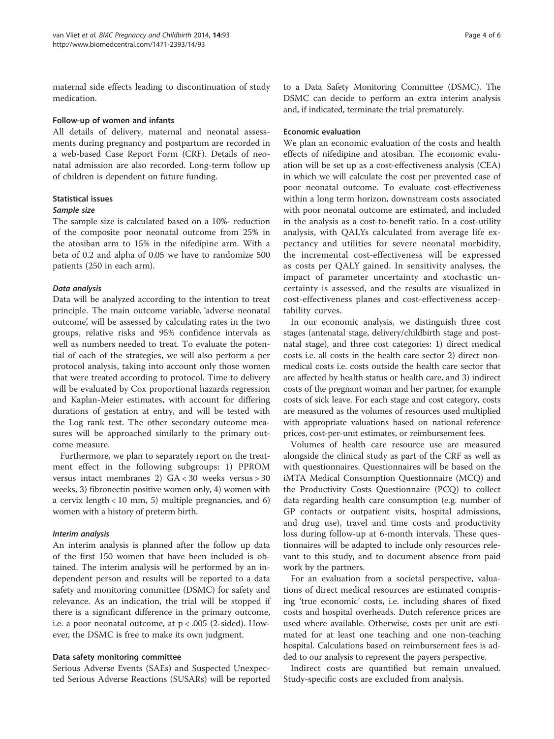maternal side effects leading to discontinuation of study medication.

#### Follow-up of women and infants

All details of delivery, maternal and neonatal assessments during pregnancy and postpartum are recorded in a web-based Case Report Form (CRF). Details of neonatal admission are also recorded. Long-term follow up of children is dependent on future funding.

## Statistical issues

#### Sample size

The sample size is calculated based on a 10%- reduction of the composite poor neonatal outcome from 25% in the atosiban arm to 15% in the nifedipine arm. With a beta of 0.2 and alpha of 0.05 we have to randomize 500 patients (250 in each arm).

#### Data analysis

Data will be analyzed according to the intention to treat principle. The main outcome variable, 'adverse neonatal outcome', will be assessed by calculating rates in the two groups, relative risks and 95% confidence intervals as well as numbers needed to treat. To evaluate the potential of each of the strategies, we will also perform a per protocol analysis, taking into account only those women that were treated according to protocol. Time to delivery will be evaluated by Cox proportional hazards regression and Kaplan-Meier estimates, with account for differing durations of gestation at entry, and will be tested with the Log rank test. The other secondary outcome measures will be approached similarly to the primary outcome measure.

Furthermore, we plan to separately report on the treatment effect in the following subgroups: 1) PPROM versus intact membranes 2) GA < 30 weeks versus > 30 weeks, 3) fibronectin positive women only, 4) women with a cervix length < 10 mm, 5) multiple pregnancies, and 6) women with a history of preterm birth.

#### Interim analysis

An interim analysis is planned after the follow up data of the first 150 women that have been included is obtained. The interim analysis will be performed by an independent person and results will be reported to a data safety and monitoring committee (DSMC) for safety and relevance. As an indication, the trial will be stopped if there is a significant difference in the primary outcome, i.e. a poor neonatal outcome, at  $p < .005$  (2-sided). However, the DSMC is free to make its own judgment.

#### Data safety monitoring committee

Serious Adverse Events (SAEs) and Suspected Unexpected Serious Adverse Reactions (SUSARs) will be reported

#### Economic evaluation

We plan an economic evaluation of the costs and health effects of nifedipine and atosiban. The economic evaluation will be set up as a cost-effectiveness analysis (CEA) in which we will calculate the cost per prevented case of poor neonatal outcome. To evaluate cost-effectiveness within a long term horizon, downstream costs associated with poor neonatal outcome are estimated, and included in the analysis as a cost-to-benefit ratio. In a cost-utility analysis, with QALYs calculated from average life expectancy and utilities for severe neonatal morbidity, the incremental cost-effectiveness will be expressed as costs per QALY gained. In sensitivity analyses, the impact of parameter uncertainty and stochastic uncertainty is assessed, and the results are visualized in cost-effectiveness planes and cost-effectiveness acceptability curves.

In our economic analysis, we distinguish three cost stages (antenatal stage, delivery/childbirth stage and postnatal stage), and three cost categories: 1) direct medical costs i.e. all costs in the health care sector 2) direct nonmedical costs i.e. costs outside the health care sector that are affected by health status or health care, and 3) indirect costs of the pregnant woman and her partner, for example costs of sick leave. For each stage and cost category, costs are measured as the volumes of resources used multiplied with appropriate valuations based on national reference prices, cost-per-unit estimates, or reimbursement fees.

Volumes of health care resource use are measured alongside the clinical study as part of the CRF as well as with questionnaires. Questionnaires will be based on the iMTA Medical Consumption Questionnaire (MCQ) and the Productivity Costs Questionnaire (PCQ) to collect data regarding health care consumption (e.g. number of GP contacts or outpatient visits, hospital admissions, and drug use), travel and time costs and productivity loss during follow-up at 6-month intervals. These questionnaires will be adapted to include only resources relevant to this study, and to document absence from paid work by the partners.

For an evaluation from a societal perspective, valuations of direct medical resources are estimated comprising 'true economic' costs, i.e. including shares of fixed costs and hospital overheads. Dutch reference prices are used where available. Otherwise, costs per unit are estimated for at least one teaching and one non-teaching hospital. Calculations based on reimbursement fees is added to our analysis to represent the payers perspective.

Indirect costs are quantified but remain unvalued. Study-specific costs are excluded from analysis.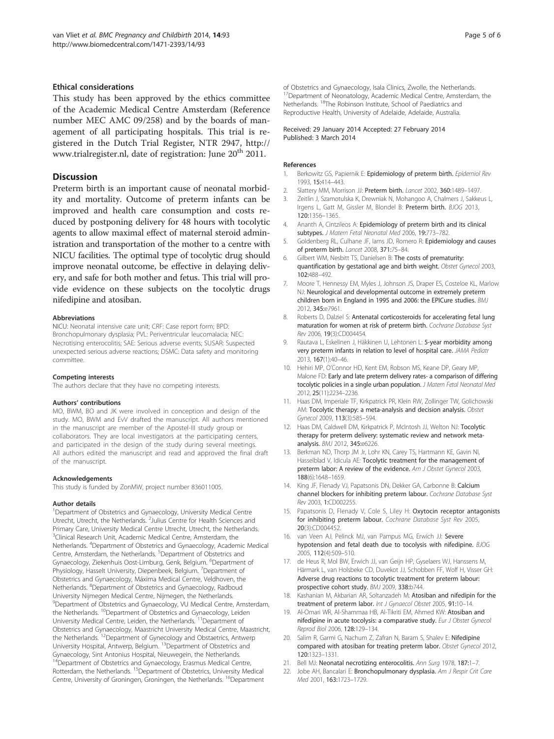#### <span id="page-4-0"></span>Ethical considerations

This study has been approved by the ethics committee of the Academic Medical Centre Amsterdam (Reference number MEC AMC 09/258) and by the boards of management of all participating hospitals. This trial is registered in the Dutch Trial Register, NTR 2947, [http://](http://www.trialregister.nl) [www.trialregister.nl](http://www.trialregister.nl), date of registration: June 20<sup>th</sup> 2011.

#### **Discussion**

Preterm birth is an important cause of neonatal morbidity and mortality. Outcome of preterm infants can be improved and health care consumption and costs reduced by postponing delivery for 48 hours with tocolytic agents to allow maximal effect of maternal steroid administration and transportation of the mother to a centre with NICU facilities. The optimal type of tocolytic drug should improve neonatal outcome, be effective in delaying delivery, and safe for both mother and fetus. This trial will provide evidence on these subjects on the tocolytic drugs nifedipine and atosiban.

#### Abbreviations

NICU: Neonatal intensive care unit; CRF: Case report form; BPD: Bronchopulmonary dysplasia; PVL: Periventricular leucomalacia; NEC: Necrotising enterocolitis; SAE: Serious adverse events; SUSAR: Suspected unexpected serious adverse reactions; DSMC: Data safety and monitoring committee.

#### Competing interests

The authors declare that they have no competing interests.

#### Authors' contributions

MO, BWM, BO and JK were involved in conception and design of the study. MO, BWM and EvV drafted the manuscript. All authors mentioned in the manuscript are member of the Apostel-III study group or collaborators. They are local investigators at the participating centers, and participated in the design of the study during several meetings. All authors edited the manuscript and read and approved the final draft of the manuscript.

#### Acknowledgements

This study is funded by ZonMW, project number 836011005.

#### Author details

<sup>1</sup>Department of Obstetrics and Gynaecology, University Medical Centre Utrecht, Utrecht, the Netherlands. <sup>2</sup>Julius Centre for Health Sciences and Primary Care, University Medical Centre Utrecht, Utrecht, the Netherlands. <sup>3</sup>Clinical Research Unit, Academic Medical Centre, Amsterdam, the Netherlands. <sup>4</sup>Department of Obstetrics and Gynaecology, Academic Medical Centre, Amsterdam, the Netherlands. <sup>5</sup>Department of Obstetrics and Gynaecology, Ziekenhuis Oost-Limburg, Genk, Belgium. <sup>6</sup>Department of Physiology, Hasselt University, Diepenbeek, Belgium. <sup>7</sup>Department of Obstetrics and Gynaecology, Máxima Medical Centre, Veldhoven, the Netherlands. <sup>8</sup>Department of Obstetrics and Gynaecology, Radboud University Nijmegen Medical Centre, Nijmegen, the Netherlands. 9 Department of Obstetrics and Gynaecology, VU Medical Centre, Amsterdam, the Netherlands. <sup>10</sup>Department of Obstetrics and Gynaecology, Leiden University Medical Centre, Leiden, the Netherlands. <sup>11</sup> Department of Obstetrics and Gynaecology, Maastricht University Medical Centre, Maastricht, the Netherlands. <sup>12</sup>Department of Gynecology and Obstaetrics, Antwerp University Hospital, Antwerp, Belgium. 13Department of Obstetrics and Gynaecology, Sint Antonius Hospital, Nieuwegein, the Netherlands. <sup>14</sup>Department of Obstetrics and Gynaecology, Erasmus Medical Centre, Rotterdam, the Netherlands. <sup>15</sup>Department of Obstetrics, University Medical Centre, University of Groningen, Groningen, the Netherlands. <sup>16</sup>Department

of Obstetrics and Gynaecology, Isala Clinics, Zwolle, the Netherlands. <sup>17</sup>Department of Neonatology, Academic Medical Centre, Amsterdam, the Netherlands. <sup>18</sup>The Robinson Institute, School of Paediatrics and Reproductive Health, University of Adelaide, Adelaide, Australia.

#### Received: 29 January 2014 Accepted: 27 February 2014 Published: 3 March 2014

#### References

- 1. Berkowitz GS, Papiernik E: Epidemiology of preterm birth. Epidemiol Rev 1993, 15:414–443.
- 2. Slattery MM, Morrison JJ: Preterm birth. Lancet 2002, 360:1489-1497.
- Zeitlin J, Szamotulska K, Drewniak N, Mohangoo A, Chalmers J, Sakkeus L, Irgens L, Gatt M, Gissler M, Blondel B: Preterm birth. BJOG 2013, 120:1356–1365.
- 4. Ananth A, Cintzileos A: Epidemiology of preterm birth and its clinical subtypes. J Matern Fetal Neonatal Med 2006, 19:773–782.
- 5. Goldenberg RL, Culhane JF, Iams JD, Romero R: Epidemiology and causes of preterm birth. Lancet 2008, 371:75–84.
- 6. Gilbert WM, Nesbitt TS, Danielsen B: The costs of prematurity: quantification by gestational age and birth weight. Obstet Gynecol 2003, 102:488–492.
- 7. Moore T, Hennessy EM, Myles J, Johnson JS, Draper ES, Costeloe KL, Marlow NJ: Neurological and developmental outcome in extremely preterm children born in England in 1995 and 2006: the EPICure studies. BMJ 2012, 345:e7961.
- 8. Roberts D, Dalziel S: Antenatal corticosteroids for accelerating fetal lung maturation for women at risk of preterm birth. Cochrane Database Syst Rev 2006, 19(3):CD004454.
- 9. Rautava L, Eskelinen J, Häkkinen U, Lehtonen L: 5-year morbidity among very preterm infants in relation to level of hospital care. JAMA Pediatr 2013, 167(1):40–46.
- 10. Hehiri MP, O'Connor HD, Kent EM, Robson MS, Keane DP, Geary MP, Malone FD: Early and late preterm delivery rates- a comparison of differing tocolytic policies in a single urban population. J Matern Fetal Neonatal Med 2012, 25(11):2234–2236.
- 11. Haas DM, Imperiale TF, Kirkpatrick PR, Klein RW, Zollinger TW, Golichowski AM: Tocolytic therapy: a meta-analysis and decision analysis. Obstet Gynecol 2009, 113(3):585-594
- 12. Haas DM, Caldwell DM, Kirkpatrick P, McIntosh JJ, Welton NJ: Tocolytic therapy for preterm delivery: systematic review and network metaanalysis. BMJ 2012, 345:e6226.
- 13. Berkman ND, Thorp JM Jr, Lohr KN, Carey TS, Hartmann KE, Gavin NI, Hasselblad V, Idicula AE: Tocolytic treatment for the management of preterm labor: A review of the evidence. Am J Obstet Gynecol 2003, 188(6):1648–1659.
- 14. King JF, Flenady VJ, Papatsonis DN, Dekker GA, Carbonne B: Calcium channel blockers for inhibiting preterm labour. Cochrane Database Syst Rev 2003, 1:CD002255.
- 15. Papatsonis D, Flenady V, Cole S, Liley H: Oxytocin receptor antagonists for inhibiting preterm labour. Cochrane Database Syst Rev 2005, 20(3):CD004452.
- 16. van Veen AJ, Pelinck MJ, van Pampus MG, Erwich JJ: Severe hypotension and fetal death due to tocolysis with nifedipine. BJOG 2005, 112(4):509–510.
- 17. de Heus R, Mol BW, Erwich JJ, van Geijn HP, Gyselaers WJ, Hanssens M, Härmark L, van Holsbeke CD, Duvekot JJ, Schobben FF, Wolf H, Visser GH: Adverse drug reactions to tocolytic treatment for preterm labour: prospective cohort study. BMJ 2009, 338:b744.
- 18. Kashanian M, Akbarian AR, Soltanzadeh M: Atosiban and nifedipin for the treatment of preterm labor. Int J Gynaecol Obstet 2005, 91:10–14.
- 19. Al-Omari WR, Al-Shammaa HB, Al-Tikriti EM, Ahmed KW: Atosiban and nifedipine in acute tocolysis: a comparative study. Eur J Obstet Gynecol Reprod Biol 2006, 128:129–134.
- 20. Salim R, Garmi G, Nachum Z, Zafran N, Baram S, Shalev E: Nifedipine compared with atosiban for treating preterm labor. Obstet Gynecol 2012, 120:1323–1331.
- 21. Bell MJ: Neonatal necrotizing enterocolitis. Ann Surg 1978, 187:1-7.
- 22. Jobe AH, Bancalari E: Bronchopulmonary dysplasia. Am J Respir Crit Care Med 2001, 163:1723–1729.